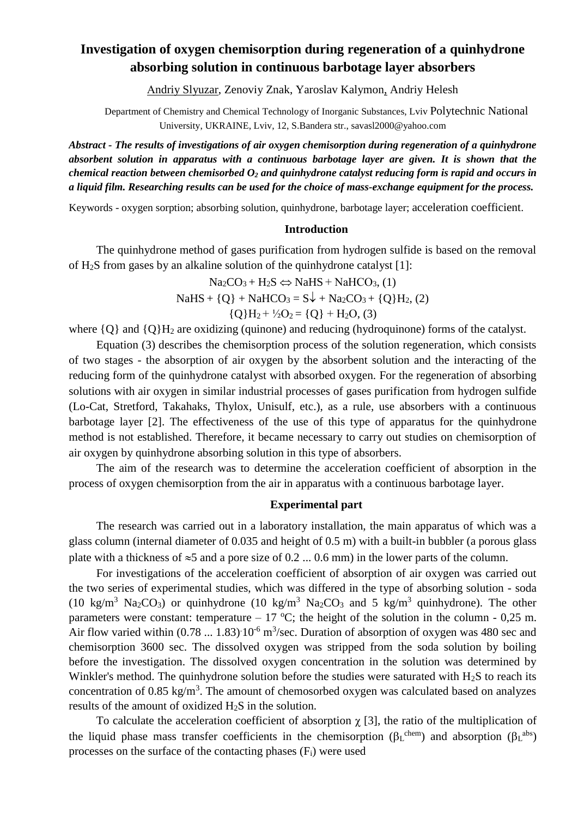# **Investigation of oxygen chemisorption during regeneration of a quinhydrone absorbing solution in continuous barbotage layer absorbers**

Аndriy Slyuzar, Zenoviy Znak, Yaroslav Kalymon, Andriy Helesh

Department of Chemistry and Chemical Technology of Inorganic Substances, Lviv Polytechnic National University, UKRAINE, Lviv, 12, S.Bandera str., savasl2000@yahoo.com

*Abstract - The results of investigations of air oxygen chemisorption during regeneration of a quinhydrone absorbent solution in apparatus with a continuous barbotage layer are given. It is shown that the chemical reaction between chemisorbed O<sup>2</sup> and quinhydrone catalyst reducing form is rapid and occurs in a liquid film. Researching results can be used for the choice of mass-exchange equipment for the process.*

Keywords - oxygen sorption; absorbing solution, quinhydrone, barbotage layer; acceleration coefficient.

#### **Introduction**

The quinhydrone method of gases purification from hydrogen sulfide is based on the removal of H2S from gases by an alkaline solution of the quinhydrone catalyst [1]:

$$
Na2CO3 + H2S \Leftrightarrow NaHS + NaHCO3, (1)
$$
  
NaHS + {Q} + NaHCO<sub>3</sub> = S $\downarrow$  + Na<sub>2</sub>CO<sub>3</sub> + {Q}H<sub>2</sub>, (2)  
{Q}H<sub>2</sub> +  $\frac{1}{2}$ O<sub>2</sub> = {Q} + H<sub>2</sub>O, (3)

where  ${O}$  and  ${O}H_2$  are oxidizing (quinone) and reducing (hydroquinone) forms of the catalyst.

Equation (3) describes the chemisorption process of the solution regeneration, which consists of two stages - the absorption of air oxygen by the absorbent solution and the interacting of the reducing form of the quinhydrone catalyst with absorbed oxygen. For the regeneration of absorbing solutions with air oxygen in similar industrial processes of gases purification from hydrogen sulfide (Lo-Cat, Stretford, Takahaks, Thylox, Unisulf, etc.), as a rule, use absorbers with a continuous barbotage layer [2]. The effectiveness of the use of this type of apparatus for the quinhydrone method is not established. Therefore, it became necessary to carry out studies on chemisorption of air oxygen by quinhydrone absorbing solution in this type of absorbers.

The aim of the research was to determine the acceleration coefficient of absorption in the process of oxygen chemisorption from the air in apparatus with a continuous barbotage layer.

## **Experimental part**

The research was carried out in a laboratory installation, the main apparatus of which was a glass column (internal diameter of 0.035 and height of 0.5 m) with a built-in bubbler (a porous glass plate with a thickness of  $\approx$ 5 and a pore size of 0.2 ... 0.6 mm) in the lower parts of the column.

For investigations of the acceleration coefficient of absorption of air oxygen was carried out the two series of experimental studies, which was differed in the type of absorbing solution - soda (10 kg/m<sup>3</sup> Na<sub>2</sub>CO<sub>3</sub>) or quinhydrone (10 kg/m<sup>3</sup> Na<sub>2</sub>CO<sub>3</sub> and 5 kg/m<sup>3</sup> quinhydrone). The other parameters were constant: temperature – 17 °C; the height of the solution in the column - 0,25 m. Air flow varied within  $(0.78 ... 1.83) 10^{-6}$  m<sup>3</sup>/sec. Duration of absorption of oxygen was 480 sec and chemisorption 3600 sec. The dissolved oxygen was stripped from the soda solution by boiling before the investigation. The dissolved oxygen concentration in the solution was determined by Winkler's method. The quinhydrone solution before the studies were saturated with H<sub>2</sub>S to reach its concentration of 0.85 kg/m<sup>3</sup>. The amount of chemosorbed oxygen was calculated based on analyzes results of the amount of oxidized H2S in the solution.

To calculate the acceleration coefficient of absorption  $\chi$  [3], the ratio of the multiplication of the liquid phase mass transfer coefficients in the chemisorption ( $\beta_L^{\text{chem}}$ ) and absorption ( $\beta_L^{\text{abs}}$ ) processes on the surface of the contacting phases  $(F_i)$  were used